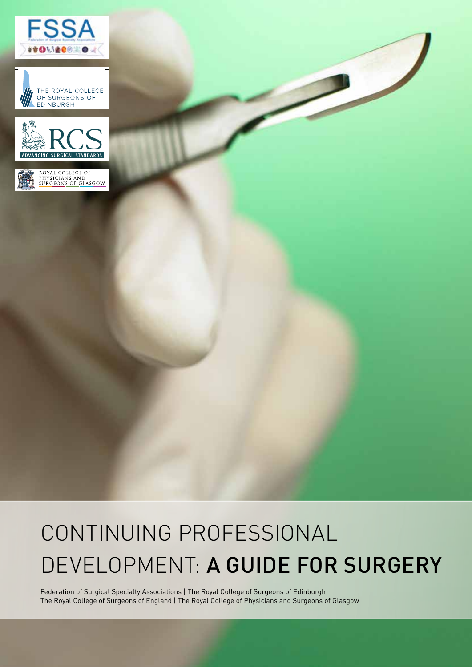







# CONTINUING PROFESSIONAL DEVELOPMENT: A GUIDE FOR SURGERY

Federation of Surgical Specialty Associations | The Royal College of Surgeons of Edinburgh The Royal College of Surgeons of England | The Royal College of Physicians and Surgeons of Glasgow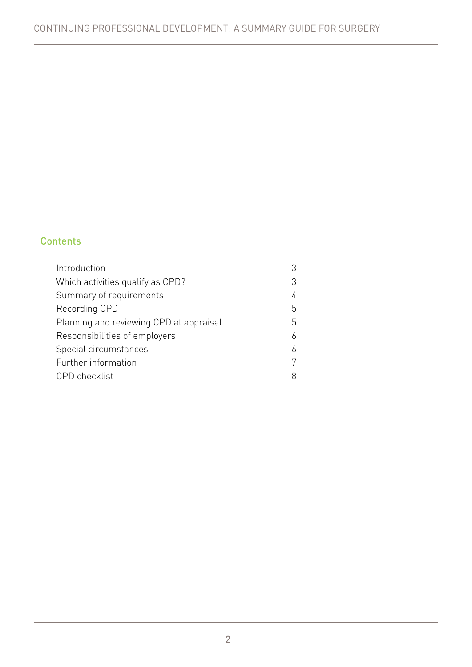## **Contents**

| Introduction                            | 3 |
|-----------------------------------------|---|
| Which activities qualify as CPD?        | 3 |
| Summary of requirements                 | 4 |
| Recording CPD                           | 5 |
| Planning and reviewing CPD at appraisal | 5 |
| Responsibilities of employers           | 6 |
| Special circumstances                   | 6 |
| Further information                     | 7 |
| <b>CPD</b> checklist                    | 8 |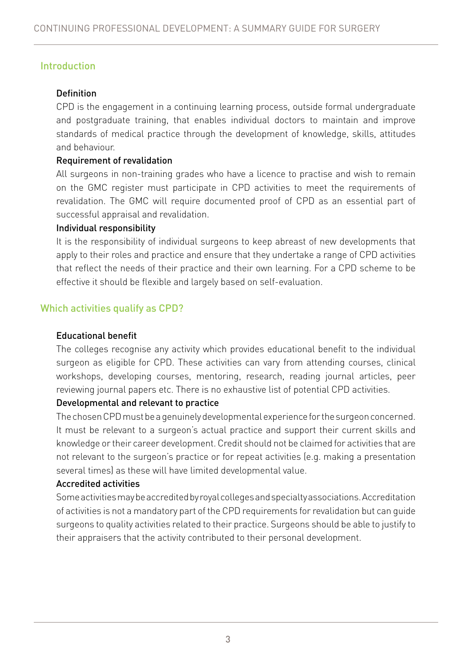# Introduction

## Definition

CPD is the engagement in a continuing learning process, outside formal undergraduate and postgraduate training, that enables individual doctors to maintain and improve standards of medical practice through the development of knowledge, skills, attitudes and behaviour.

#### Requirement of revalidation

All surgeons in non-training grades who have a licence to practise and wish to remain on the GMC register must participate in CPD activities to meet the requirements of revalidation. The GMC will require documented proof of CPD as an essential part of successful appraisal and revalidation.

#### Individual responsibility

It is the responsibility of individual surgeons to keep abreast of new developments that apply to their roles and practice and ensure that they undertake a range of CPD activities that reflect the needs of their practice and their own learning. For a CPD scheme to be effective it should be flexible and largely based on self-evaluation.

# Which activities qualify as CPD?

#### Educational benefit

The colleges recognise any activity which provides educational benefit to the individual surgeon as eligible for CPD. These activities can vary from attending courses, clinical workshops, developing courses, mentoring, research, reading journal articles, peer reviewing journal papers etc. There is no exhaustive list of potential CPD activities.

#### Developmental and relevant to practice

The chosen CPD must be a genuinely developmental experience for the surgeon concerned. It must be relevant to a surgeon's actual practice and support their current skills and knowledge or their career development. Credit should not be claimed for activities that are not relevant to the surgeon's practice or for repeat activities (e.g. making a presentation several times) as these will have limited developmental value.

#### Accredited activities

Some activities may be accredited by royal colleges and specialty associations. Accreditation of activities is not a mandatory part of the CPD requirements for revalidation but can guide surgeons to quality activities related to their practice. Surgeons should be able to justify to their appraisers that the activity contributed to their personal development.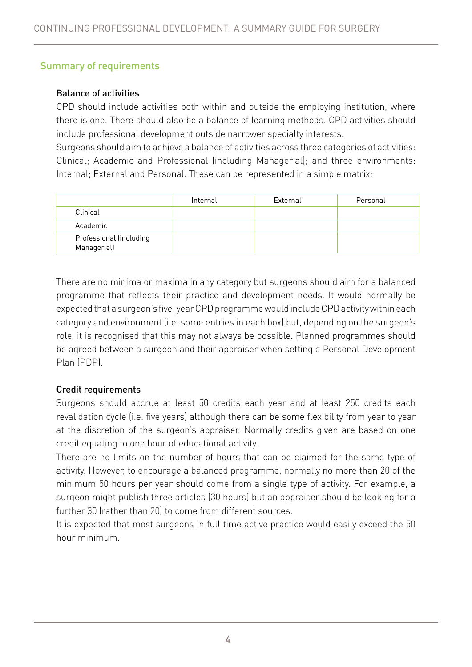# Summary of requirements

#### Balance of activities

CPD should include activities both within and outside the employing institution, where there is one. There should also be a balance of learning methods. CPD activities should include professional development outside narrower specialty interests.

Surgeons should aim to achieve a balance of activities across three categories of activities: Clinical; Academic and Professional (including Managerial); and three environments: Internal; External and Personal. These can be represented in a simple matrix:

|                                        | Internal | External | Personal |
|----------------------------------------|----------|----------|----------|
| Clinical                               |          |          |          |
| Academic                               |          |          |          |
| Professional (including<br>Managerial) |          |          |          |

There are no minima or maxima in any category but surgeons should aim for a balanced programme that reflects their practice and development needs. It would normally be expected that a surgeon's five-year CPD programme would include CPD activity within each category and environment (i.e. some entries in each box) but, depending on the surgeon's role, it is recognised that this may not always be possible. Planned programmes should be agreed between a surgeon and their appraiser when setting a Personal Development Plan (PDP).

#### Credit requirements

Surgeons should accrue at least 50 credits each year and at least 250 credits each revalidation cycle (i.e. five years) although there can be some flexibility from year to year at the discretion of the surgeon's appraiser. Normally credits given are based on one credit equating to one hour of educational activity.

There are no limits on the number of hours that can be claimed for the same type of activity. However, to encourage a balanced programme, normally no more than 20 of the minimum 50 hours per year should come from a single type of activity. For example, a surgeon might publish three articles (30 hours) but an appraiser should be looking for a further 30 (rather than 20) to come from different sources.

It is expected that most surgeons in full time active practice would easily exceed the 50 hour minimum.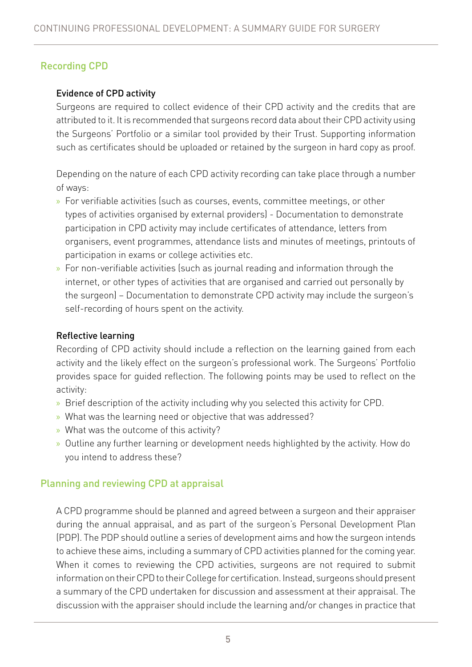# Recording CPD

#### Evidence of CPD activity

Surgeons are required to collect evidence of their CPD activity and the credits that are attributed to it. It is recommended that surgeons record data about their CPD activity using the Surgeons' Portfolio or a similar tool provided by their Trust. Supporting information such as certificates should be uploaded or retained by the surgeon in hard copy as proof.

Depending on the nature of each CPD activity recording can take place through a number of ways:

- » For verifiable activities (such as courses, events, committee meetings, or other types of activities organised by external providers) - Documentation to demonstrate participation in CPD activity may include certificates of attendance, letters from organisers, event programmes, attendance lists and minutes of meetings, printouts of participation in exams or college activities etc.
- » For non-verifiable activities (such as journal reading and information through the internet, or other types of activities that are organised and carried out personally by the surgeon) – Documentation to demonstrate CPD activity may include the surgeon's self-recording of hours spent on the activity.

#### Reflective learning

Recording of CPD activity should include a reflection on the learning gained from each activity and the likely effect on the surgeon's professional work. The Surgeons' Portfolio provides space for guided reflection. The following points may be used to reflect on the activity:

- » Brief description of the activity including why you selected this activity for CPD.
- » What was the learning need or objective that was addressed?
- » What was the outcome of this activity?
- » Outline any further learning or development needs highlighted by the activity. How do you intend to address these?

## Planning and reviewing CPD at appraisal

A CPD programme should be planned and agreed between a surgeon and their appraiser during the annual appraisal, and as part of the surgeon's Personal Development Plan (PDP). The PDP should outline a series of development aims and how the surgeon intends to achieve these aims, including a summary of CPD activities planned for the coming year. When it comes to reviewing the CPD activities, surgeons are not required to submit information on their CPD to their College for certification. Instead, surgeons should present a summary of the CPD undertaken for discussion and assessment at their appraisal. The discussion with the appraiser should include the learning and/or changes in practice that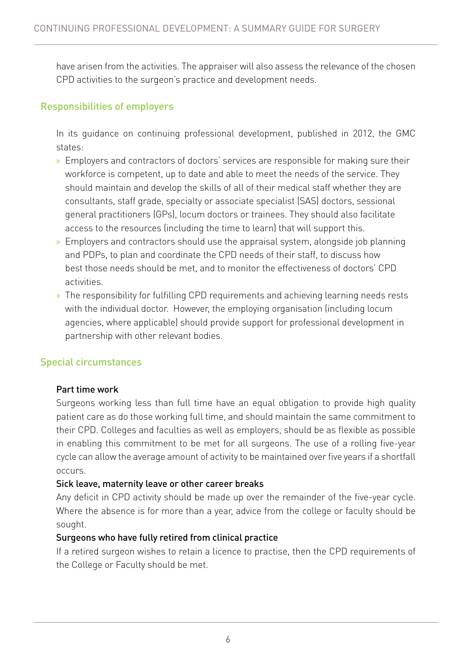have arisen from the activities. The appraiser will also assess the relevance of the chosen CPD activities to the surgeon's practice and development needs.

# Responsibilities of employers

In its guidance on continuing professional development, published in 2012, the GMC states:

- » Employers and contractors of doctors' services are responsible for making sure their workforce is competent, up to date and able to meet the needs of the service. They should maintain and develop the skills of all of their medical staff whether they are consultants, staff grade, specialty or associate specialist (SAS) doctors, sessional general practitioners (GPs), locum doctors or trainees. They should also facilitate access to the resources (including the time to learn) that will support this.
- » Employers and contractors should use the appraisal system, alongside job planning and PDPs, to plan and coordinate the CPD needs of their staff, to discuss how best those needs should be met, and to monitor the effectiveness of doctors' CPD activities.
- » The responsibility for fulfilling CPD requirements and achieving learning needs rests with the individual doctor. However, the employing organisation (including locum agencies, where applicable) should provide support for professional development in partnership with other relevant bodies.

## Special circumstances

#### Part time work

Surgeons working less than full time have an equal obligation to provide high quality patient care as do those working full time, and should maintain the same commitment to their CPD. Colleges and faculties as well as employers, should be as flexible as possible in enabling this commitment to be met for all surgeons. The use of a rolling five-year cycle can allow the average amount of activity to be maintained over five years if a shortfall occurs.

#### Sick leave, maternity leave or other career breaks

Any deficit in CPD activity should be made up over the remainder of the five-year cycle. Where the absence is for more than a year, advice from the college or faculty should be sought.

## Surgeons who have fully retired from clinical practice

If a retired surgeon wishes to retain a licence to practise, then the CPD requirements of the College or Faculty should be met.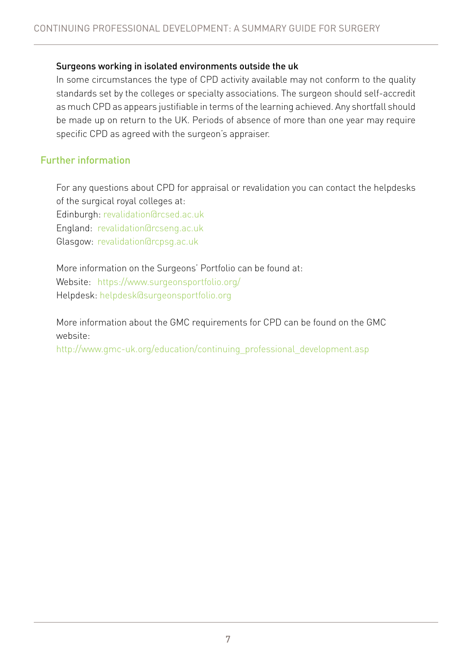#### Surgeons working in isolated environments outside the uk

In some circumstances the type of CPD activity available may not conform to the quality standards set by the colleges or specialty associations. The surgeon should self-accredit as much CPD as appears justifiable in terms of the learning achieved. Any shortfall should be made up on return to the UK. Periods of absence of more than one year may require specific CPD as agreed with the surgeon's appraiser.

## Further information

For any questions about CPD for appraisal or revalidation you can contact the helpdesks of the surgical royal colleges at:

Edinburgh: revalidation@rcsed.ac.uk

England: revalidation@rcseng.ac.uk

Glasgow: revalidation@rcpsg.ac.uk

More information on the Surgeons' Portfolio can be found at: Website: https://www.surgeonsportfolio.org/ Helpdesk: helpdesk@surgeonsportfolio.org

More information about the GMC requirements for CPD can be found on the GMC website:

http://www.gmc-uk.org/education/continuing\_professional\_development.asp